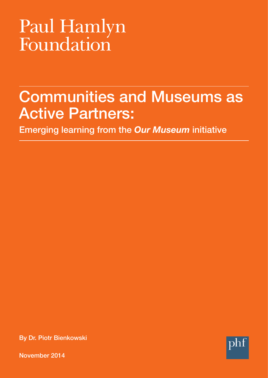# Paul Hamlyn<br>Foundation

# **Communities and Museums as Active Partners:**

**Emerging learning from the** *Our Museum* **initiative** 

**By Dr. Piotr Bienkowski** 



**November 2014**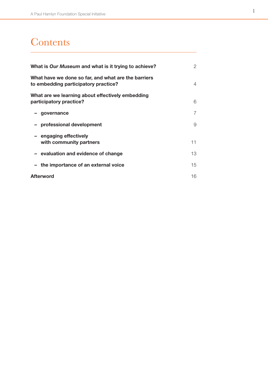# **Contents**

| What is Our Museum and what is it trying to achieve?                                        | $\mathcal{P}$ |
|---------------------------------------------------------------------------------------------|---------------|
| What have we done so far, and what are the barriers<br>to embedding participatory practice? | 4             |
| What are we learning about effectively embedding<br>participatory practice?                 | 6             |
| governance                                                                                  | 7             |
| - professional development                                                                  | 9             |
| - engaging effectively<br>with community partners                                           | 11            |
| - evaluation and evidence of change                                                         | 13            |
| the importance of an external voice                                                         | 15            |
| <b>Afterword</b>                                                                            | 16            |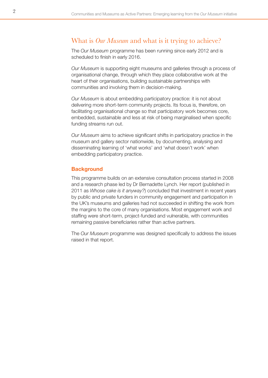## <span id="page-2-0"></span>What is *Our Museum* and what is it trying to achieve?

The *Our Museum* programme has been running since early 2012 and is scheduled to finish in early 2016.

*Our Museum* is supporting eight museums and galleries through a process of organisational change, through which they place collaborative work at the heart of their organisations, building sustainable partnerships with communities and involving them in decision-making.

*Our Museum* is about embedding participatory practice: it is not about delivering more short-term community projects. Its focus is, therefore, on facilitating organisational change so that participatory work becomes core, embedded, sustainable and less at risk of being marginalised when specific funding streams run out.

*Our Museum* aims to achieve significant shifts in participatory practice in the museum and gallery sector nationwide, by documenting, analysing and disseminating learning of 'what works' and 'what doesn't work' when embedding participatory practice.

#### **Background**

This programme builds on an extensive consultation process started in 2008 and a research phase led by Dr Bernadette Lynch. Her report (published in 2011 as *Whose cake is it anyway?*) concluded that investment in recent years by public and private funders in community engagement and participation in the UK's museums and galleries had not succeeded in shifting the work from the margins to the core of many organisations. Most engagement work and staffing were short-term, project-funded and vulnerable, with communities remaining passive beneficiaries rather than active partners.

The *Our Museum* programme was designed specifically to address the issues raised in that report.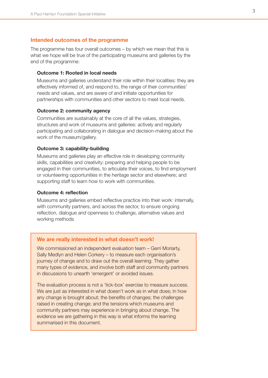#### **Intended outcomes of the programme**

The programme has four overall outcomes – by which we mean that this is what we hope will be true of the participating museums and galleries by the end of the programme:

#### **Outcome 1: Rooted in local needs**

Museums and galleries understand their role within their localities: they are effectively informed of, and respond to, the range of their communities' needs and values, and are aware of and initiate opportunities for partnerships with communities and other sectors to meet local needs.

#### **Outcome 2: community agency**

Communities are sustainably at the core of all the values, strategies, structures and work of museums and galleries: actively and regularly participating and collaborating in dialogue and decision-making about the work of the museum/gallery.

#### **Outcome 3: capability-building**

Museums and galleries play an effective role in developing community skills, capabilities and creativity: preparing and helping people to be engaged in their communities, to articulate their voices, to find employment or volunteering opportunities in the heritage sector and elsewhere; and supporting staff to learn how to work with communities.

#### **Outcome 4: reflection**

Museums and galleries embed reflective practice into their work: internally, with community partners, and across the sector, to ensure ongoing reflection, dialogue and openness to challenge, alternative values and working methods

#### **We are really interested in what doesn't work!**

We commissioned an independent evaluation team – Gerri Moriarty, Sally Medlyn and Helen Corkery – to measure each organisation's journey of change and to draw out the overall learning. They gather many types of evidence, and involve both staff and community partners in discussions to unearth 'emergent' or avoided issues.

The evaluation process is not a 'tick-box' exercise to measure success. We are just as interested in what doesn't work as in what does; in how any change is brought about; the benefits of changes; the challenges raised in creating change; and the tensions which museums and community partners may experience in bringing about change. The evidence we are gathering in this way is what informs the learning summarised in this document.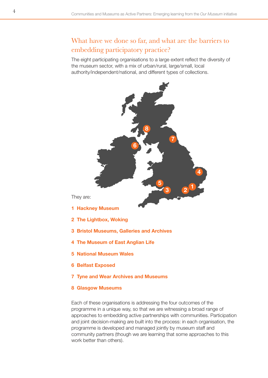# <span id="page-4-0"></span>What have we done so far, and what are the barriers to embedding participatory practice?

The eight participating organisations to a large extent reflect the diversity of the museum sector, with a mix of urban/rural, large/small, local authority/independent/national, and different types of collections.



They are:

- **1 Hackney Museum**
- **2 The Lightbox, Woking**
- **3 Bristol Museums, Galleries and Archives**
- **4 The Museum of East Anglian Life**
- **5 National Museum Wales**
- **6 Belfast Exposed**
- **7 Tyne and Wear Archives and Museums**
- **8 Glasgow Museums**

Each of these organisations is addressing the four outcomes of the programme in a unique way, so that we are witnessing a broad range of approaches to embedding active partnerships with communities. Participation and joint decision-making are built into the process: in each organisation, the programme is developed and managed jointly by museum staff and community partners (though we are learning that some approaches to this work better than others).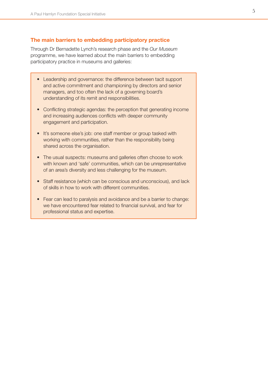#### **The main barriers to embedding participatory practice**

Through Dr Bernadette Lynch's research phase and the *Our Museum*  programme, we have learned about the main barriers to embedding participatory practice in museums and galleries:

- Leadership and governance: the difference between tacit support and active commitment and championing by directors and senior managers, and too often the lack of a governing board's understanding of its remit and responsibilities.
- Conflicting strategic agendas: the perception that generating income and increasing audiences conflicts with deeper community engagement and participation.
- It's someone else's job: one staff member or group tasked with working with communities, rather than the responsibility being shared across the organisation.
- The usual suspects: museums and galleries often choose to work with known and 'safe' communities, which can be unrepresentative of an area's diversity and less challenging for the museum.
- Staff resistance (which can be conscious and unconscious), and lack of skills in how to work with different communities.
- Fear can lead to paralysis and avoidance and be a barrier to change: we have encountered fear related to financial survival, and fear for professional status and expertise.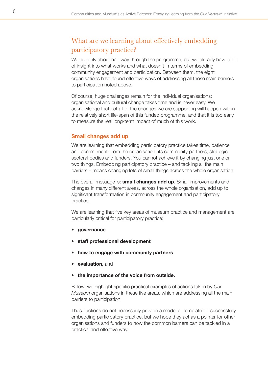## <span id="page-6-0"></span>What are we learning about effectively embedding participatory practice?

We are only about half-way through the programme, but we already have a lot of insight into what works and what doesn't in terms of embedding community engagement and participation. Between them, the eight organisations have found effective ways of addressing all those main barriers to participation noted above.

Of course, huge challenges remain for the individual organisations: organisational and cultural change takes time and is never easy. We acknowledge that not all of the changes we are supporting will happen within the relatively short life-span of this funded programme, and that it is too early to measure the real long-term impact of much of this work.

#### **Small changes add up**

We are learning that embedding participatory practice takes time, patience and commitment: from the organisation, its community partners, strategic sectoral bodies and funders. You cannot achieve it by changing just one or two things. Embedding participatory practice – and tackling all the main barriers – means changing lots of small things across the whole organisation.

The overall message is: **small changes add up**. Small improvements and changes in many different areas, across the whole organisation, add up to significant transformation in community engagement and participatory practice.

We are learning that five key areas of museum practice and management are particularly critical for participatory practice:

- **governance**
- **staff professional development**
- **how to engage with community partners**
- **evaluation, and**
- **the importance of the voice from outside.**

Below, we highlight specific practical examples of actions taken by *Our Museum* organisations in these five areas, which are addressing all the main barriers to participation.

These actions do not necessarily provide a model or template for successfully embedding participatory practice, but we hope they act as a pointer for other organisations and funders to how the common barriers can be tackled in a practical and effective way.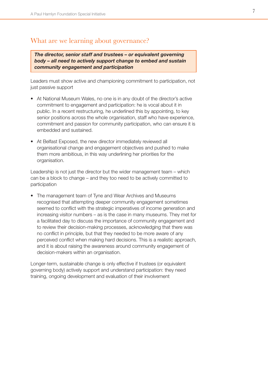## <span id="page-7-0"></span>What are we learning about governance?

*The director, senior staff and trustees – or equivalent governing body – all need to actively support change to embed and sustain community engagement and participation* 

Leaders must show active and championing commitment to participation, not just passive support

- At National Museum Wales, no one is in any doubt of the director's active commitment to engagement and participation: he is vocal about it in public. In a recent restructuring, he underlined this by appointing, to key senior positions across the whole organisation, staff who have experience, commitment and passion for community participation, who can ensure it is embedded and sustained.
- At Belfast Exposed, the new director immediately reviewed all organisational change and engagement objectives and pushed to make them more ambitious, in this way underlining her priorities for the organisation.

Leadership is not just the director but the wider management team – which can be a block to change – and they too need to be actively committed to participation

The management team of Tyne and Wear Archives and Museums recognised that attempting deeper community engagement sometimes seemed to conflict with the strategic imperatives of income generation and increasing visitor numbers – as is the case in many museums. They met for a facilitated day to discuss the importance of community engagement and to review their decision-making processes, acknowledging that there was no conflict in principle, but that they needed to be more aware of any perceived conflict when making hard decisions. This is a realistic approach, and it is about raising the awareness around community engagement of decision-makers within an organisation.

Longer-term, sustainable change is only effective if trustees (or equivalent governing body) actively support and understand participation: they need training, ongoing development and evaluation of their involvement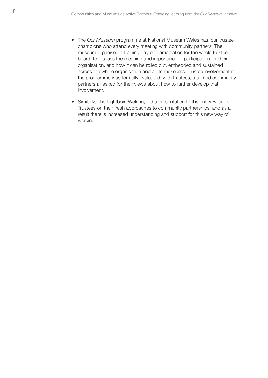- The *Our Museum* programme at National Museum Wales has four trustee champions who attend every meeting with community partners. The museum organised a training day on participation for the whole trustee board, to discuss the meaning and importance of participation for their organisation, and how it can be rolled out, embedded and sustained across the whole organisation and all its museums. Trustee involvement in the programme was formally evaluated, with trustees, staff and community partners all asked for their views about how to further develop that involvement.
- Similarly, The Lightbox, Woking, did a presentation to their new Board of Trustees on their fresh approaches to community partnerships, and as a result there is increased understanding and support for this new way of working.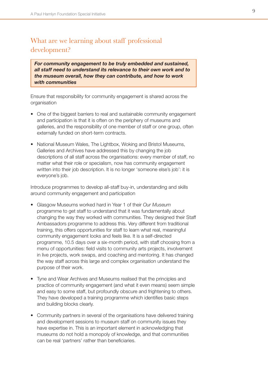# <span id="page-9-0"></span>What are we learning about staff professional development?

*For community engagement to be truly embedded and sustained, all staff need to understand its relevance to their own work and to the museum overall, how they can contribute, and how to work with communities* 

Ensure that responsibility for community engagement is shared across the organisation

- One of the biggest barriers to real and sustainable community engagement and participation is that it is often on the periphery of museums and galleries, and the responsibility of one member of staff or one group, often externally funded on short-term contracts.
- National Museum Wales, The Lightbox, Woking and Bristol Museums, Galleries and Archives have addressed this by changing the job descriptions of all staff across the organisations: every member of staff, no matter what their role or specialism, now has community engagement written into their job description. It is no longer 'someone else's job': it is everyone's job.

Introduce programmes to develop all-staff buy-in, understanding and skills around community engagement and participation

- • Glasgow Museums worked hard in Year 1 of their *Our Museum*  programme to get staff to understand that it was fundamentally about changing the way they worked with communities. They designed their Staff Ambassadors programme to address this. Very different from traditional training, this offers opportunities for staff to learn what real, meaningful community engagement looks and feels like. It is a self-directed programme, 10.5 days over a six-month period, with staff choosing from a menu of opportunities: field visits to community arts projects, involvement in live projects, work swaps, and coaching and mentoring. It has changed the way staff across this large and complex organisation understand the purpose of their work.
- Tyne and Wear Archives and Museums realised that the principles and practice of community engagement (and what it even means) seem simple and easy to some staff, but profoundly obscure and frightening to others. They have developed a training programme which identifies basic steps and building blocks clearly.
- Community partners in several of the organisations have delivered training and development sessions to museum staff on community issues they have expertise in. This is an important element in acknowledging that museums do not hold a monopoly of knowledge, and that communities can be real 'partners' rather than beneficiaries.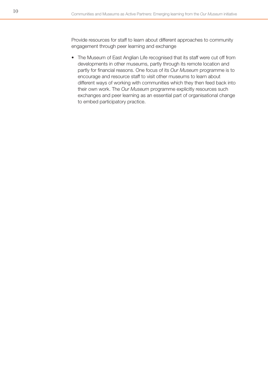Provide resources for staff to learn about different approaches to community engagement through peer learning and exchange

• The Museum of East Anglian Life recognised that its staff were cut off from developments in other museums, partly through its remote location and partly for financial reasons. One focus of its *Our Museum* programme is to encourage and resource staff to visit other museums to learn about different ways of working with communities which they then feed back into their own work. The *Our Museum* programme explicitly resources such exchanges and peer learning as an essential part of organisational change to embed participatory practice.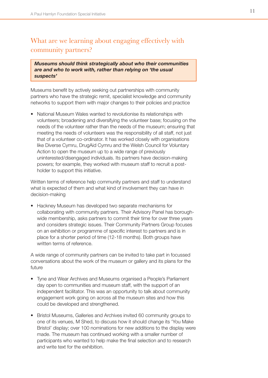# <span id="page-11-0"></span>What are we learning about engaging effectively with community partners?

*Museums should think strategically about who their communities are and who to work with, rather than relying on 'the usual suspects'* 

Museums benefit by actively seeking out partnerships with community partners who have the strategic remit, specialist knowledge and community networks to support them with major changes to their policies and practice

• National Museum Wales wanted to revolutionise its relationships with volunteers; broadening and diversifying the volunteer base; focusing on the needs of the volunteer rather than the needs of the museum; ensuring that meeting the needs of volunteers was the responsibility of all staff, not just that of a volunteer co-ordinator. It has worked closely with organisations like Diverse Cymru, DrugAid Cymru and the Welsh Council for Voluntary Action to open the museum up to a wide range of previously uninterested/disengaged individuals. Its partners have decision-making powers; for example, they worked with museum staff to recruit a postholder to support this initiative.

Written terms of reference help community partners and staff to understand what is expected of them and what kind of involvement they can have in decision-making

• Hackney Museum has developed two separate mechanisms for collaborating with community partners. Their Advisory Panel has boroughwide membership, asks partners to commit their time for over three years and considers strategic issues. Their Community Partners Group focuses on an exhibition or programme of specific interest to partners and is in place for a shorter period of time (12-18 months). Both groups have written terms of reference.

A wide range of community partners can be invited to take part in focussed conversations about the work of the museum or gallery and its plans for the future

- Tyne and Wear Archives and Museums organised a People's Parliament day open to communities and museum staff, with the support of an independent facilitator. This was an opportunity to talk about community engagement work going on across all the museum sites and how this could be developed and strengthened.
- Bristol Museums, Galleries and Archives invited 60 community groups to one of its venues, M Shed, to discuss how it should change its 'You Make Bristol' display; over 100 nominations for new additions to the display were made. The museum has continued working with a smaller number of participants who wanted to help make the final selection and to research and write text for the exhibition.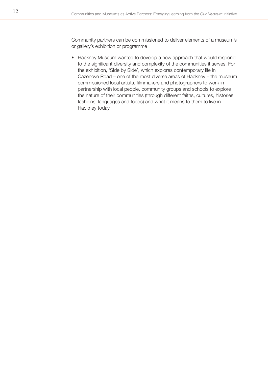Community partners can be commissioned to deliver elements of a museum's or gallery's exhibition or programme

• Hackney Museum wanted to develop a new approach that would respond to the significant diversity and complexity of the communities it serves. For the exhibition, 'Side by Side', which explores contemporary life in Cazenove Road – one of the most diverse areas of Hackney – the museum commissioned local artists, filmmakers and photographers to work in partnership with local people, community groups and schools to explore the nature of their communities (through different faiths, cultures, histories, fashions, languages and foods) and what it means to them to live in Hackney today.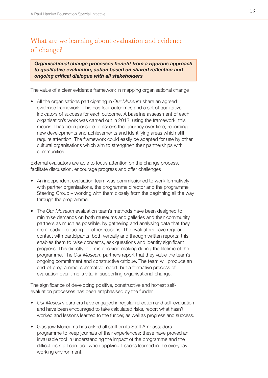# <span id="page-13-0"></span>What are we learning about evaluation and evidence of change?

*Organisational change processes benefit from a rigorous approach to qualitative evaluation, action based on shared reflection and ongoing critical dialogue with all stakeholders* 

The value of a clear evidence framework in mapping organisational change

• All the organisations participating in *Our Museum* share an agreed evidence framework. This has four outcomes and a set of qualitative indicators of success for each outcome. A baseline assessment of each organisation's work was carried out in 2012, using the framework; this means it has been possible to assess their journey over time, recording new developments and achievements and identifying areas which still require attention. The framework could easily be adapted for use by other cultural organisations which aim to strengthen their partnerships with communities.

External evaluators are able to focus attention on the change process, facilitate discussion, encourage progress and offer challenges

- An independent evaluation team was commissioned to work formatively with partner organisations, the programme director and the programme Steering Group – working with them closely from the beginning all the way through the programme.
- The *Our Museum* evaluation team's methods have been designed to minimise demands on both museums and galleries and their community partners as much as possible, by gathering and analysing data that they are already producing for other reasons. The evaluators have regular contact with participants, both verbally and through written reports; this enables them to raise concerns, ask questions and identify significant progress. This directly informs decision-making during the lifetime of the programme. The *Our Museum* partners report that they value the team's ongoing commitment and constructive critique. The team will produce an end-of-programme, summative report, but a formative process of evaluation over time is vital in supporting organisational change.

The significance of developing positive, constructive and honest selfevaluation processes has been emphasised by the funder

- *Our Museum* partners have engaged in regular reflection and self-evaluation and have been encouraged to take calculated risks, report what hasn't worked and lessons learned to the funder, as well as progress and success.
- Glasgow Museums has asked all staff on its Staff Ambassadors programme to keep journals of their experiences; these have proved an invaluable tool in understanding the impact of the programme and the difficulties staff can face when applying lessons learned in the everyday working environment.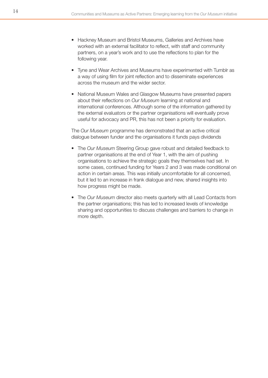- Hackney Museum and Bristol Museums, Galleries and Archives have worked with an external facilitator to reflect, with staff and community partners, on a year's work and to use the reflections to plan for the following year.
- Tyne and Wear Archives and Museums have experimented with Tumblr as a way of using film for joint reflection and to disseminate experiences across the museum and the wider sector.
- National Museum Wales and Glasgow Museums have presented papers about their reflections on *Our Museum* learning at national and international conferences. Although some of the information gathered by the external evaluators or the partner organisations will eventually prove useful for advocacy and PR, this has not been a priority for evaluation.

The *Our Museum* programme has demonstrated that an active critical dialogue between funder and the organisations it funds pays dividends

- The *Our Museum* Steering Group gave robust and detailed feedback to partner organisations at the end of Year 1, with the aim of pushing organisations to achieve the strategic goals they themselves had set. In some cases, continued funding for Years 2 and 3 was made conditional on action in certain areas. This was initially uncomfortable for all concerned, but it led to an increase in frank dialogue and new, shared insights into how progress might be made.
- The *Our Museum* director also meets quarterly with all Lead Contacts from the partner organisations; this has led to increased levels of knowledge sharing and opportunities to discuss challenges and barriers to change in more depth.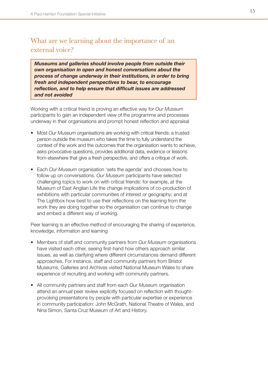# <span id="page-15-0"></span>What are we learning about the importance of an external voice?

*Museums and galleries should involve people from outside their own organisation in open and honest conversations about the process of change underway in their institutions, in order to bring fresh and independent perspectives to bear, to encourage reflection, and to help ensure that difficult issues are addressed and not avoided* 

Working with a critical friend is proving an effective way for *Our Museum*  participants to gain an independent view of the programme and processes underway in their organisations and prompt honest reflection and appraisal

- Most *Our Museum* organisations are working with critical friends: a trusted person outside the museum who takes the time to fully understand the context of the work and the outcomes that the organisation wants to achieve, asks provocative questions, provides additional data, evidence or lessons from elsewhere that give a fresh perspective, and offers a critique of work.
- Each *Our Museum* organisation 'sets the agenda' and chooses how to follow up on conversations. *Our Museum* participants have selected challenging topics to work on with critical friends: for example, at the Museum of East Anglian Life the change implications of co-production of exhibitions with particular communities of interest or geography; and at The Lightbox how best to use their reflections on the learning from the work they are doing together so the organisation can continue to change and embed a different way of working.

Peer learning is an effective method of encouraging the sharing of experience, knowledge, information and learning

- • Members of staff and community partners from *Our Museum* organisations have visited each other, seeing first-hand how others approach similar issues, as well as clarifying where different circumstances demand different approaches. For instance, staff and community partners from Bristol Museums, Galleries and Archives visited National Museum Wales to share experience of recruiting and working with community partners.
- • All community partners and staff from each *Our Museum* organisation attend an annual peer review explicitly focused on reflection with thoughtprovoking presentations by people with particular expertise or experience in community participation: John McGrath, National Theatre of Wales, and Nina Simon, Santa Cruz Museum of Art and History.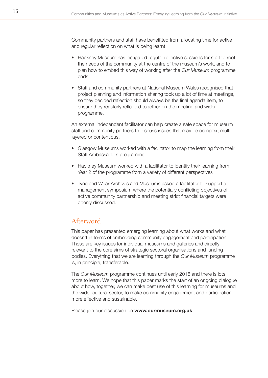<span id="page-16-0"></span>Community partners and staff have benefitted from allocating time for active and regular reflection on what is being learnt

- Hackney Museum has instigated regular reflective sessions for staff to root the needs of the community at the centre of the museum's work, and to plan how to embed this way of working after the *Our Museum* programme ends.
- Staff and community partners at National Museum Wales recognised that project planning and information sharing took up a lot of time at meetings, so they decided reflection should always be the final agenda item, to ensure they regularly reflected together on the meeting and wider programme.

An external independent facilitator can help create a safe space for museum staff and community partners to discuss issues that may be complex, multilayered or contentious.

- Glasgow Museums worked with a facilitator to map the learning from their Staff Ambassadors programme;
- Hackney Museum worked with a facilitator to identify their learning from Year 2 of the programme from a variety of different perspectives
- Tyne and Wear Archives and Museums asked a facilitator to support a management symposium where the potentially conflicting objectives of active community partnership and meeting strict financial targets were openly discussed.

## Afterword

This paper has presented emerging learning about what works and what doesn't in terms of embedding community engagement and participation. These are key issues for individual museums and galleries and directly relevant to the core aims of strategic sectoral organisations and funding bodies. Everything that we are learning through the *Our Museum* programme is, in principle, transferable.

The *Our Museum* programme continues until early 2016 and there is lots more to learn. We hope that this paper marks the start of an ongoing dialogue about how, together, we can make best use of this learning for museums and the wider cultural sector, to make community engagement and participation more effective and sustainable.

Please join our discussion on **www.ourmuseum.org.uk**.